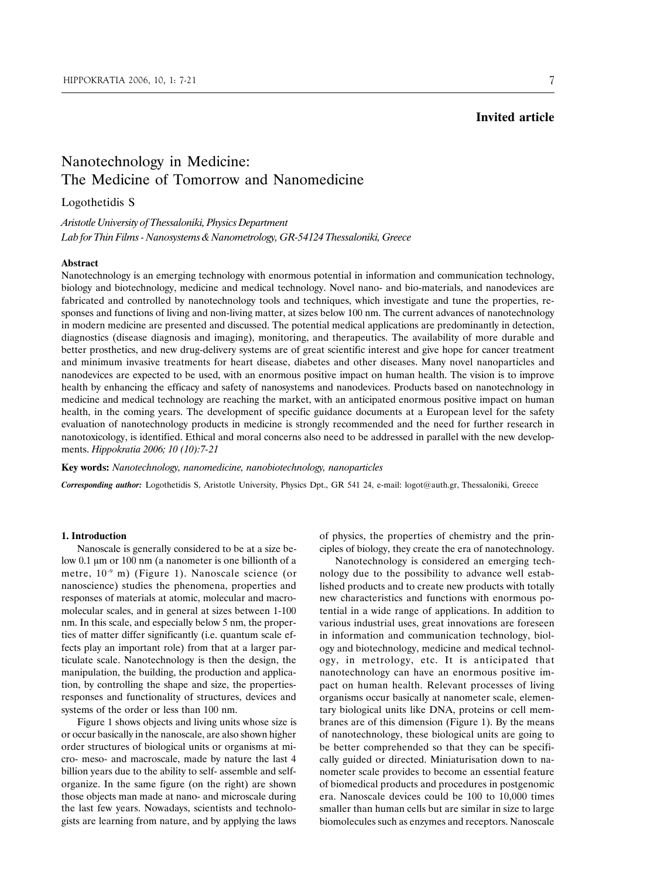## **Invited article**

# Nanotechnology in Medicine: The Medicine of Tomorrow and Nanomedicine

### Logothetidis S

## *Aristotle University of Thessaloniki, Physics Department Lab for Thin Films - Nanosystems & Nanometrology, GR-54124 Thessaloniki, Greece*

#### **Abstract**

Nanotechnology is an emerging technology with enormous potential in information and communication technology, biology and biotechnology, medicine and medical technology. Novel nano- and bio-materials, and nanodevices are fabricated and controlled by nanotechnology tools and techniques, which investigate and tune the properties, responses and functions of living and non-living matter, at sizes below 100 nm. The current advances of nanotechnology in modern medicine are presented and discussed. The potential medical applications are predominantly in detection, diagnostics (disease diagnosis and imaging), monitoring, and therapeutics. The availability of more durable and better prosthetics, and new drug-delivery systems are of great scientific interest and give hope for cancer treatment and minimum invasive treatments for heart disease, diabetes and other diseases. Many novel nanoparticles and nanodevices are expected to be used, with an enormous positive impact on human health. The vision is to improve health by enhancing the efficacy and safety of nanosystems and nanodevices. Products based on nanotechnology in medicine and medical technology are reaching the market, with an anticipated enormous positive impact on human health, in the coming years. The development of specific guidance documents at a European level for the safety evaluation of nanotechnology products in medicine is strongly recommended and the need for further research in nanotoxicology, is identified. Ethical and moral concerns also need to be addressed in parallel with the new developments. *Hippokratia 2006; 10 (10):7-21*

**Key words:** *Nanotechnology, nanomedicine, nanobiotechnology, nanoparticles*

*Corresponding author:* Logothetidis S, Aristotle University, Physics Dpt., GR 541 24, e-mail: logot@auth.gr, Thessaloniki, Greece

#### **1. Introduction**

Nanoscale is generally considered to be at a size below 0.1 µm or 100 nm (a nanometer is one billionth of a metre, 10-9 m) (Figure 1). Nanoscale science (or nanoscience) studies the phenomena, properties and responses of materials at atomic, molecular and macromolecular scales, and in general at sizes between 1-100 nm. In this scale, and especially below 5 nm, the properties of matter differ significantly (i.e. quantum scale effects play an important role) from that at a larger particulate scale. Nanotechnology is then the design, the manipulation, the building, the production and application, by controlling the shape and size, the propertiesresponses and functionality of structures, devices and systems of the order or less than 100 nm.

Figure 1 shows objects and living units whose size is or occur basically in the nanoscale, are also shown higher order structures of biological units or organisms at micro- meso- and macroscale, made by nature the last 4 billion years due to the ability to self- assemble and selforganize. In the same figure (on the right) are shown those objects man made at nano- and microscale during the last few years. Nowadays, scientists and technologists are learning from nature, and by applying the laws

of physics, the properties of chemistry and the principles of biology, they create the era of nanotechnology.

Nanotechnology is considered an emerging technology due to the possibility to advance well established products and to create new products with totally new characteristics and functions with enormous potential in a wide range of applications. In addition to various industrial uses, great innovations are foreseen in information and communication technology, biology and biotechnology, medicine and medical technology, in metrology, etc. It is anticipated that nanotechnology can have an enormous positive impact on human health. Relevant processes of living organisms occur basically at nanometer scale, elementary biological units like DNA, proteins or cell membranes are of this dimension (Figure 1). By the means of nanotechnology, these biological units are going to be better comprehended so that they can be specifically guided or directed. Miniaturisation down to nanometer scale provides to become an essential feature of biomedical products and procedures in postgenomic era. Nanoscale devices could be 100 to 10,000 times smaller than human cells but are similar in size to large biomolecules such as enzymes and receptors. Nanoscale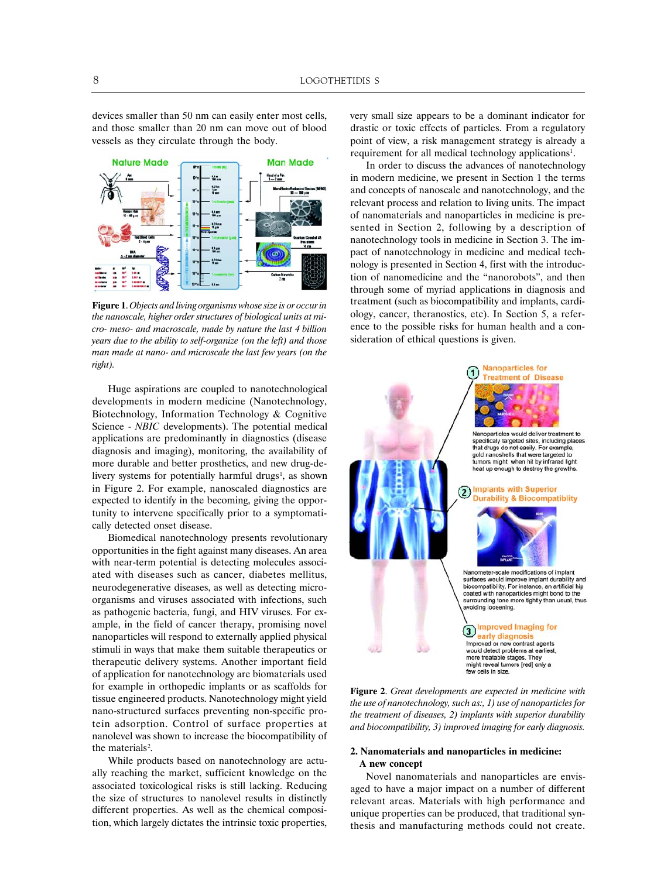devices smaller than 50 nm can easily enter most cells, and those smaller than 20 nm can move out of blood vessels as they circulate through the body.



**Figure 1**. *Objects and living organisms whose size is or occur in the nanoscale, higher order structures of biological units at micro- meso- and macroscale, made by nature the last 4 billion years due to the ability to self-organize (on the left) and those man made at nano- and microscale the last few years (on the right).*

Huge aspirations are coupled to nanotechnological developments in modern medicine (Nanotechnology, Biotechnology, Information Technology & Cognitive Science - *NBIC* developments). The potential medical applications are predominantly in diagnostics (disease diagnosis and imaging), monitoring, the availability of more durable and better prosthetics, and new drug-delivery systems for potentially harmful drugs<sup>1</sup>, as shown in Figure 2. For example, nanoscaled diagnostics are expected to identify in the becoming, giving the opportunity to intervene specifically prior to a symptomatically detected onset disease.

Biomedical nanotechnology presents revolutionary opportunities in the fight against many diseases. An area with near-term potential is detecting molecules associated with diseases such as cancer, diabetes mellitus, neurodegenerative diseases, as well as detecting microorganisms and viruses associated with infections, such as pathogenic bacteria, fungi, and HIV viruses. For example, in the field of cancer therapy, promising novel nanoparticles will respond to externally applied physical stimuli in ways that make them suitable therapeutics or therapeutic delivery systems. Another important field of application for nanotechnology are biomaterials used for example in orthopedic implants or as scaffolds for tissue engineered products. Nanotechnology might yield nano-structured surfaces preventing non-specific protein adsorption. Control of surface properties at nanolevel was shown to increase the biocompatibility of the materials<sup>2</sup>.

While products based on nanotechnology are actually reaching the market, sufficient knowledge on the associated toxicological risks is still lacking. Reducing the size of structures to nanolevel results in distinctly different properties. As well as the chemical composition, which largely dictates the intrinsic toxic properties, very small size appears to be a dominant indicator for drastic or toxic effects of particles. From a regulatory point of view, a risk management strategy is already a requirement for all medical technology applications<sup>1</sup>.

In order to discuss the advances of nanotechnology in modern medicine, we present in Section 1 the terms and concepts of nanoscale and nanotechnology, and the relevant process and relation to living units. The impact of nanomaterials and nanoparticles in medicine is presented in Section 2, following by a description of nanotechnology tools in medicine in Section 3. The impact of nanotechnology in medicine and medical technology is presented in Section 4, first with the introduction of nanomedicine and the "nanorobots", and then through some of myriad applications in diagnosis and treatment (such as biocompatibility and implants, cardiology, cancer, theranostics, etc). In Section 5, a reference to the possible risks for human health and a consideration of ethical questions is given.



**Figure 2**. *Great developments are expected in medicine with the use of nanotechnology, such as:, 1) use of nanoparticles for the treatment of diseases, 2) implants with superior durability and biocompatibility, 3) improved imaging for early diagnosis.*

#### **2. Nanomaterials and nanoparticles in medicine: A new concept**

Novel nanomaterials and nanoparticles are envisaged to have a major impact on a number of different relevant areas. Materials with high performance and unique properties can be produced, that traditional synthesis and manufacturing methods could not create.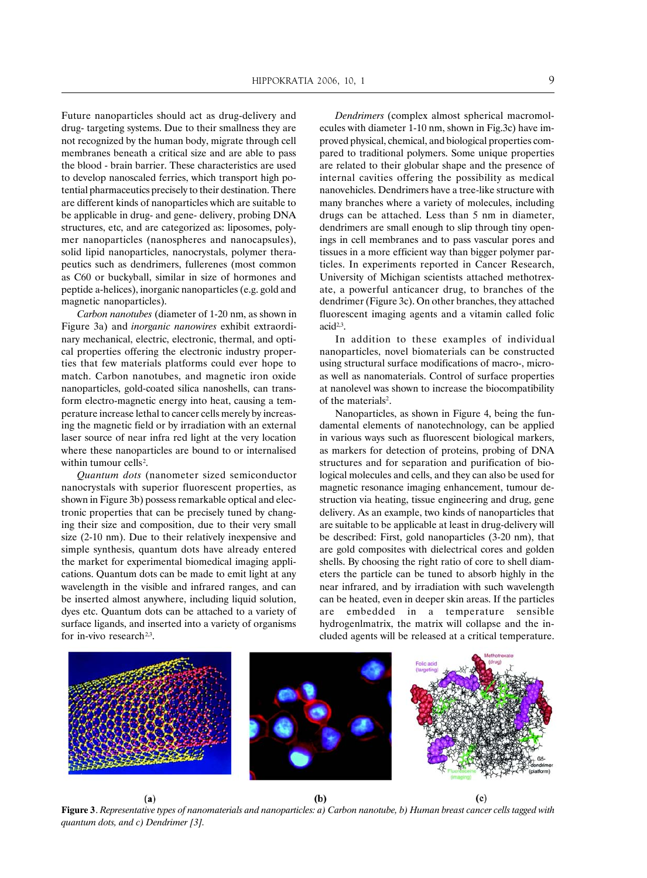Future nanoparticles should act as drug-delivery and drug- targeting systems. Due to their smallness they are not recognized by the human body, migrate through cell membranes beneath a critical size and are able to pass the blood - brain barrier. These characteristics are used to develop nanoscaled ferries, which transport high potential pharmaceutics precisely to their destination. There are different kinds of nanoparticles which are suitable to be applicable in drug- and gene- delivery, probing DNA structures, etc, and are categorized as: liposomes, polymer nanoparticles (nanospheres and nanocapsules), solid lipid nanoparticles, nanocrystals, polymer therapeutics such as dendrimers, fullerenes (most common as C60 or buckyball, similar in size of hormones and peptide a-helices), inorganic nanoparticles (e.g. gold and magnetic nanoparticles).

*Carbon nanotubes* (diameter of 1-20 nm, as shown in Figure 3a) and *inorganic nanowires* exhibit extraordinary mechanical, electric, electronic, thermal, and optical properties offering the electronic industry properties that few materials platforms could ever hope to match. Carbon nanotubes, and magnetic iron oxide nanoparticles, gold-coated silica nanoshells, can transform electro-magnetic energy into heat, causing a temperature increase lethal to cancer cells merely by increasing the magnetic field or by irradiation with an external laser source of near infra red light at the very location where these nanoparticles are bound to or internalised within tumour cells<sup>2</sup>.

*Quantum dots* (nanometer sized semiconductor nanocrystals with superior fluorescent properties, as shown in Figure 3b) possess remarkable optical and electronic properties that can be precisely tuned by changing their size and composition, due to their very small size (2-10 nm). Due to their relatively inexpensive and simple synthesis, quantum dots have already entered the market for experimental biomedical imaging applications. Quantum dots can be made to emit light at any wavelength in the visible and infrared ranges, and can be inserted almost anywhere, including liquid solution, dyes etc. Quantum dots can be attached to a variety of surface ligands, and inserted into a variety of organisms for in-vivo research<sup> $2,3$ </sup>.

*Dendrimers* (complex almost spherical macromolecules with diameter 1-10 nm, shown in Fig.3c) have improved physical, chemical, and biological properties compared to traditional polymers. Some unique properties are related to their globular shape and the presence of internal cavities offering the possibility as medical nanovehicles. Dendrimers have a tree-like structure with many branches where a variety of molecules, including drugs can be attached. Less than 5 nm in diameter, dendrimers are small enough to slip through tiny openings in cell membranes and to pass vascular pores and tissues in a more efficient way than bigger polymer particles. In experiments reported in Cancer Research, University of Michigan scientists attached methotrexate, a powerful anticancer drug, to branches of the dendrimer (Figure 3c). On other branches, they attached fluorescent imaging agents and a vitamin called folic acid<sup>2,3</sup>.

In addition to these examples of individual nanoparticles, novel biomaterials can be constructed using structural surface modifications of macro-, microas well as nanomaterials. Control of surface properties at nanolevel was shown to increase the biocompatibility of the materials<sup>2</sup>.

Nanoparticles, as shown in Figure 4, being the fundamental elements of nanotechnology, can be applied in various ways such as fluorescent biological markers, as markers for detection of proteins, probing of DNA structures and for separation and purification of biological molecules and cells, and they can also be used for magnetic resonance imaging enhancement, tumour destruction via heating, tissue engineering and drug, gene delivery. As an example, two kinds of nanoparticles that are suitable to be applicable at least in drug-delivery will be described: First, gold nanoparticles (3-20 nm), that are gold composites with dielectrical cores and golden shells. By choosing the right ratio of core to shell diameters the particle can be tuned to absorb highly in the near infrared, and by irradiation with such wavelength can be heated, even in deeper skin areas. If the particles are embedded in a temperature sensible hydrogenlmatrix, the matrix will collapse and the included agents will be released at a critical temperature.



**Figure 3**. *Representative types of nanomaterials and nanoparticles: a) Carbon nanotube, b) Human breast cancer cells tagged with quantum dots, and c) Dendrimer [3].*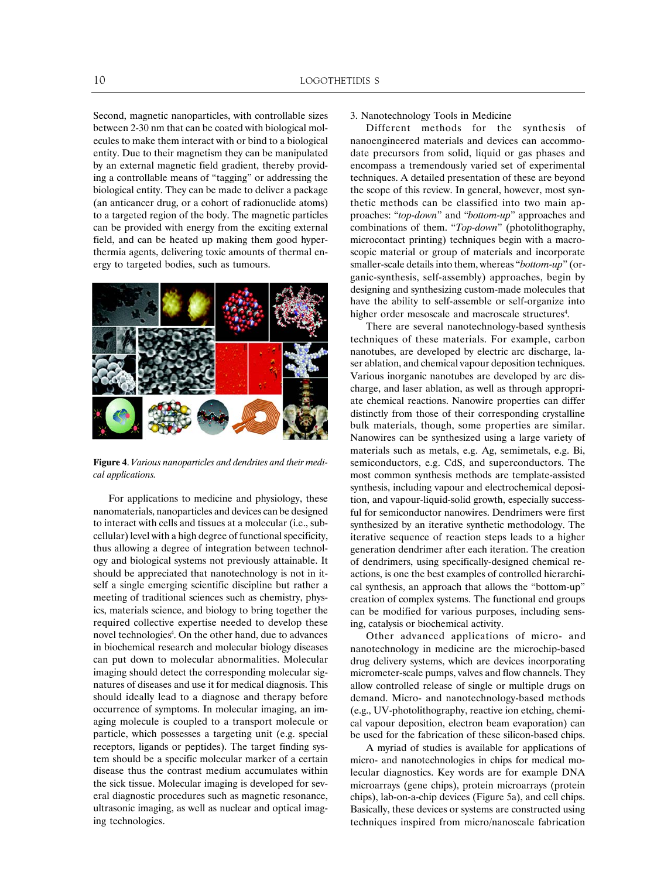Second, magnetic nanoparticles, with controllable sizes between 2-30 nm that can be coated with biological molecules to make them interact with or bind to a biological entity. Due to their magnetism they can be manipulated by an external magnetic field gradient, thereby providing a controllable means of "tagging" or addressing the biological entity. They can be made to deliver a package (an anticancer drug, or a cohort of radionuclide atoms) to a targeted region of the body. The magnetic particles can be provided with energy from the exciting external field, and can be heated up making them good hyperthermia agents, delivering toxic amounts of thermal energy to targeted bodies, such as tumours.



**Figure 4**. *Various nanoparticles and dendrites and their medical applications.*

For applications to medicine and physiology, these nanomaterials, nanoparticles and devices can be designed to interact with cells and tissues at a molecular (i.e., subcellular) level with a high degree of functional specificity, thus allowing a degree of integration between technology and biological systems not previously attainable. It should be appreciated that nanotechnology is not in itself a single emerging scientific discipline but rather a meeting of traditional sciences such as chemistry, physics, materials science, and biology to bring together the required collective expertise needed to develop these novel technologies<sup>4</sup>. On the other hand, due to advances in biochemical research and molecular biology diseases can put down to molecular abnormalities. Molecular imaging should detect the corresponding molecular signatures of diseases and use it for medical diagnosis. This should ideally lead to a diagnose and therapy before occurrence of symptoms. In molecular imaging, an imaging molecule is coupled to a transport molecule or particle, which possesses a targeting unit (e.g. special receptors, ligands or peptides). The target finding system should be a specific molecular marker of a certain disease thus the contrast medium accumulates within the sick tissue. Molecular imaging is developed for several diagnostic procedures such as magnetic resonance, ultrasonic imaging, as well as nuclear and optical imaging technologies.

3. Nanotechnology Tools in Medicine

Different methods for the synthesis of nanoengineered materials and devices can accommodate precursors from solid, liquid or gas phases and encompass a tremendously varied set of experimental techniques. A detailed presentation of these are beyond the scope of this review. In general, however, most synthetic methods can be classified into two main approaches: "*top-down*" and "*bottom-up*" approaches and combinations of them. "*Top-down*" (photolithography, microcontact printing) techniques begin with a macroscopic material or group of materials and incorporate smaller-scale details into them, whereas "*bottom-up*" (organic-synthesis, self-assembly) approaches, begin by designing and synthesizing custom-made molecules that have the ability to self-assemble or self-organize into higher order mesoscale and macroscale structures<sup>4</sup>.

There are several nanotechnology-based synthesis techniques of these materials. For example, carbon nanotubes, are developed by electric arc discharge, laser ablation, and chemical vapour deposition techniques. Various inorganic nanotubes are developed by arc discharge, and laser ablation, as well as through appropriate chemical reactions. Nanowire properties can differ distinctly from those of their corresponding crystalline bulk materials, though, some properties are similar. Nanowires can be synthesized using a large variety of materials such as metals, e.g. Ag, semimetals, e.g. Bi, semiconductors, e.g. CdS, and superconductors. The most common synthesis methods are template-assisted synthesis, including vapour and electrochemical deposition, and vapour-liquid-solid growth, especially successful for semiconductor nanowires. Dendrimers were first synthesized by an iterative synthetic methodology. The iterative sequence of reaction steps leads to a higher generation dendrimer after each iteration. The creation of dendrimers, using specifically-designed chemical reactions, is one the best examples of controlled hierarchical synthesis, an approach that allows the "bottom-up" creation of complex systems. The functional end groups can be modified for various purposes, including sensing, catalysis or biochemical activity.

Other advanced applications of micro- and nanotechnology in medicine are the microchip-based drug delivery systems, which are devices incorporating micrometer-scale pumps, valves and flow channels. They allow controlled release of single or multiple drugs on demand. Micro- and nanotechnology-based methods (e.g., UV-photolithography, reactive ion etching, chemical vapour deposition, electron beam evaporation) can be used for the fabrication of these silicon-based chips.

A myriad of studies is available for applications of micro- and nanotechnologies in chips for medical molecular diagnostics. Key words are for example DNA microarrays (gene chips), protein microarrays (protein chips), lab-on-a-chip devices (Figure 5a), and cell chips. Basically, these devices or systems are constructed using techniques inspired from micro/nanoscale fabrication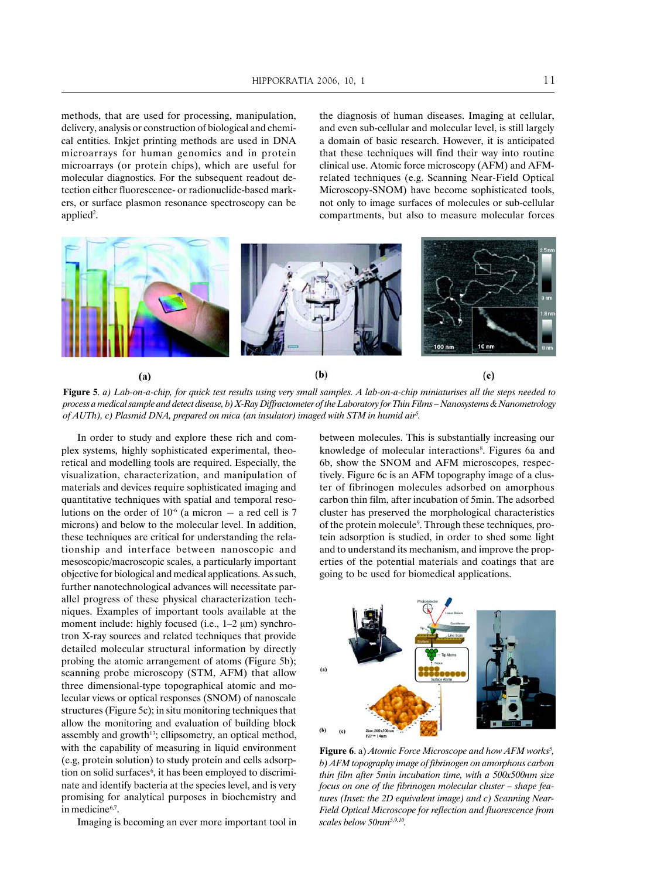methods, that are used for processing, manipulation, delivery, analysis or construction of biological and chemical entities. Inkjet printing methods are used in DNA microarrays for human genomics and in protein microarrays (or protein chips), which are useful for molecular diagnostics. For the subsequent readout detection either fluorescence- or radionuclide-based markers, or surface plasmon resonance spectroscopy can be applied<sup>2</sup>.

the diagnosis of human diseases. Imaging at cellular, and even sub-cellular and molecular level, is still largely a domain of basic research. However, it is anticipated that these techniques will find their way into routine clinical use. Atomic force microscopy (AFM) and AFMrelated techniques (e.g. Scanning Near-Field Optical Microscopy-SNOM) have become sophisticated tools, not only to image surfaces of molecules or sub-cellular compartments, but also to measure molecular forces



**Figure 5**. *a) Lab-on-a-chip, for quick test results using very small samples. A lab-on-a-chip miniaturises all the steps needed to process a medical sample and detect disease, b) X-Ray Diffractometer of the Laboratory for Thin Films – Nanosystems & Nanometrology of AUTh), c) Plasmid DNA, prepared on mica (an insulator) imaged with STM in humid air*<sup>5</sup> *.*

In order to study and explore these rich and complex systems, highly sophisticated experimental, theoretical and modelling tools are required. Especially, the visualization, characterization, and manipulation of materials and devices require sophisticated imaging and quantitative techniques with spatial and temporal resolutions on the order of  $10^{-6}$  (a micron – a red cell is 7 microns) and below to the molecular level. In addition, these techniques are critical for understanding the relationship and interface between nanoscopic and mesoscopic/macroscopic scales, a particularly important objective for biological and medical applications. As such, further nanotechnological advances will necessitate parallel progress of these physical characterization techniques. Examples of important tools available at the moment include: highly focused (i.e.,  $1-2 \mu m$ ) synchrotron X-ray sources and related techniques that provide detailed molecular structural information by directly probing the atomic arrangement of atoms (Figure 5b); scanning probe microscopy (STM, AFM) that allow three dimensional-type topographical atomic and molecular views or optical responses (SNOM) of nanoscale structures (Figure 5c); in situ monitoring techniques that allow the monitoring and evaluation of building block assembly and growth<sup>13</sup>; ellipsometry, an optical method, with the capability of measuring in liquid environment (e.g, protein solution) to study protein and cells adsorption on solid surfaces<sup>6</sup>, it has been employed to discriminate and identify bacteria at the species level, and is very promising for analytical purposes in biochemistry and in medicine<sup>6,7</sup>.

Imaging is becoming an ever more important tool in

between molecules. This is substantially increasing our knowledge of molecular interactions<sup>8</sup>. Figures 6a and 6b, show the SNOM and AFM microscopes, respectively. Figure 6c is an AFM topography image of a cluster of fibrinogen molecules adsorbed on amorphous carbon thin film, after incubation of 5min. The adsorbed cluster has preserved the morphological characteristics of the protein molecule<sup>9</sup>. Through these techniques, protein adsorption is studied, in order to shed some light and to understand its mechanism, and improve the properties of the potential materials and coatings that are going to be used for biomedical applications.



Figure 6. a) *Atomic Force Microscope and how AFM works<sup>5</sup>*, *b) AFM topography image of fibrinogen on amorphous carbon thin film after 5min incubation time, with a 500x500nm size focus on one of the fibrinogen molecular cluster – shape features (Inset: the 2D equivalent image) and c) Scanning Near-Field Optical Microscope for reflection and fluorescence from scales below 50nm5,9,10.*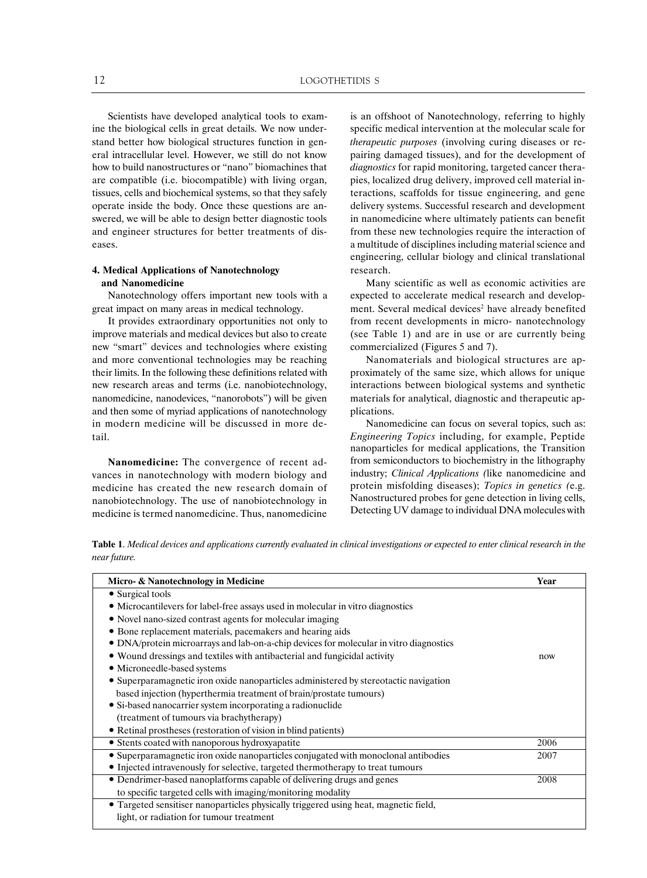Scientists have developed analytical tools to examine the biological cells in great details. We now understand better how biological structures function in general intracellular level. However, we still do not know how to build nanostructures or "nano" biomachines that are compatible (i.e. biocompatible) with living organ, tissues, cells and biochemical systems, so that they safely operate inside the body. Once these questions are answered, we will be able to design better diagnostic tools and engineer structures for better treatments of diseases.

## **4. Medical Applications of Nanotechnology and Nanomedicine**

Nanotechnology offers important new tools with a great impact on many areas in medical technology.

It provides extraordinary opportunities not only to improve materials and medical devices but also to create new "smart" devices and technologies where existing and more conventional technologies may be reaching their limits. In the following these definitions related with new research areas and terms (i.e. nanobiotechnology, nanomedicine, nanodevices, "nanorobots") will be given and then some of myriad applications of nanotechnology in modern medicine will be discussed in more detail.

**Nanomedicine:** The convergence of recent advances in nanotechnology with modern biology and medicine has created the new research domain of nanobiotechnology. The use of nanobiotechnology in medicine is termed nanomedicine. Thus, nanomedicine is an offshoot of Nanotechnology, referring to highly specific medical intervention at the molecular scale for *therapeutic purposes* (involving curing diseases or repairing damaged tissues), and for the development of *diagnostics* for rapid monitoring, targeted cancer therapies, localized drug delivery, improved cell material interactions, scaffolds for tissue engineering, and gene delivery systems. Successful research and development in nanomedicine where ultimately patients can benefit from these new technologies require the interaction of a multitude of disciplines including material science and engineering, cellular biology and clinical translational research.

Many scientific as well as economic activities are expected to accelerate medical research and development. Several medical devices<sup>2</sup> have already benefited from recent developments in micro- nanotechnology (see Table 1) and are in use or are currently being commercialized (Figures 5 and 7).

Nanomaterials and biological structures are approximately of the same size, which allows for unique interactions between biological systems and synthetic materials for analytical, diagnostic and therapeutic applications.

Nanomedicine can focus on several topics, such as: *Engineering Topics* including, for example, Peptide nanoparticles for medical applications, the Transition from semiconductors to biochemistry in the lithography industry; *Clinical Applications (*like nanomedicine and protein misfolding diseases); *Topics in genetics (*e.g. Nanostructured probes for gene detection in living cells, Detecting UV damage to individual DNA molecules with

**Table 1**. *Medical devices and applications currently evaluated in clinical investigations or expected to enter clinical research in the near future.*

| Micro- & Nanotechnology in Medicine                                                    | Year |
|----------------------------------------------------------------------------------------|------|
| • Surgical tools                                                                       |      |
| • Microcantilevers for label-free assays used in molecular in vitro diagnostics        |      |
| • Novel nano-sized contrast agents for molecular imaging                               |      |
| • Bone replacement materials, pacemakers and hearing aids                              |      |
| • DNA/protein microarrays and lab-on-a-chip devices for molecular in vitro diagnostics |      |
| • Wound dressings and textiles with antibacterial and fungicidal activity              | now  |
| • Microneedle-based systems                                                            |      |
| • Superparamagnetic iron oxide nanoparticles administered by stereotactic navigation   |      |
| based injection (hyperthermia treatment of brain/prostate tumours)                     |      |
| • Si-based nanocarrier system incorporating a radionuclide                             |      |
| (treatment of tumours via brachytherapy)                                               |      |
| • Retinal prostheses (restoration of vision in blind patients)                         |      |
| • Stents coated with nanoporous hydroxyapatite                                         | 2006 |
| • Superparamagnetic iron oxide nanoparticles conjugated with monoclonal antibodies     | 2007 |
| • Injected intravenously for selective, targeted thermotherapy to treat tumours        |      |
| • Dendrimer-based nanoplatforms capable of delivering drugs and genes                  | 2008 |
| to specific targeted cells with imaging/monitoring modality                            |      |
| • Targeted sensitiser nanoparticles physically triggered using heat, magnetic field,   |      |
| light, or radiation for tumour treatment                                               |      |
|                                                                                        |      |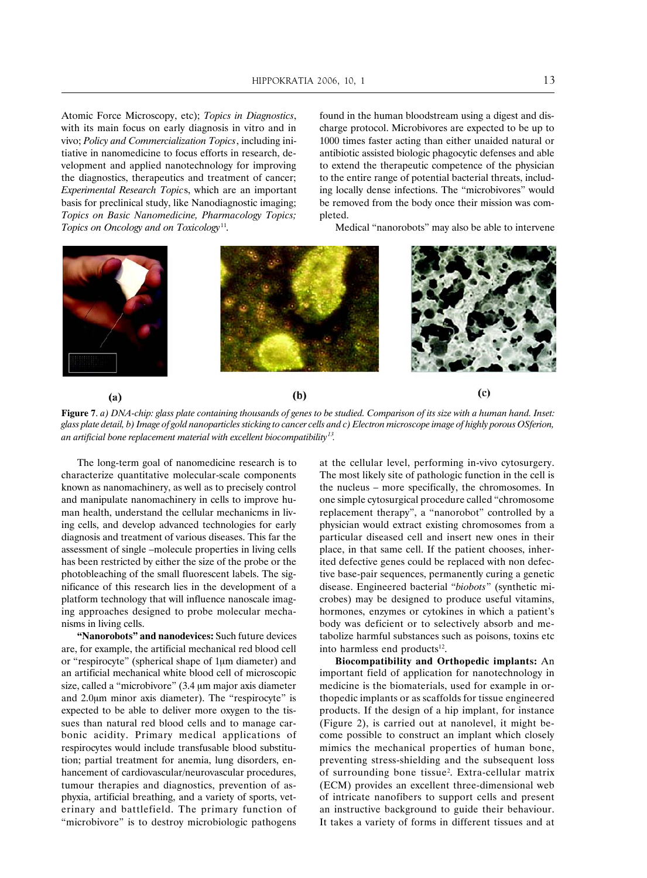Atomic Force Microscopy, etc); *Topics in Diagnostics*, with its main focus on early diagnosis in vitro and in vivo; *Policy and Commercialization Topics*, including initiative in nanomedicine to focus efforts in research, development and applied nanotechnology for improving the diagnostics, therapeutics and treatment of cancer; *Experimental Research Topic*s, which are an important basis for preclinical study, like Nanodiagnostic imaging; *Topics on Basic Nanomedicine, Pharmacology Topics; Topics on Oncology and on Toxicology*11.

found in the human bloodstream using a digest and discharge protocol. Microbivores are expected to be up to 1000 times faster acting than either unaided natural or antibiotic assisted biologic phagocytic defenses and able to extend the therapeutic competence of the physician to the entire range of potential bacterial threats, including locally dense infections. The "microbivores" would be removed from the body once their mission was completed.

Medical "nanorobots" may also be able to intervene



**Figure 7**. *a) DNA-chip: glass plate containing thousands of genes to be studied. Comparison of its size with a human hand. Inset: glass plate detail, b) Image of gold nanoparticles sticking to cancer cells and c) Electron microscope image of highly porous OSferion, an artificial bone replacement material with excellent biocompatibility13.*

The long-term goal of nanomedicine research is to characterize quantitative molecular-scale components known as nanomachinery, as well as to precisely control and manipulate nanomachinery in cells to improve human health, understand the cellular mechanicms in living cells, and develop advanced technologies for early diagnosis and treatment of various diseases. This far the assessment of single –molecule properties in living cells has been restricted by either the size of the probe or the photobleaching of the small fluorescent labels. The significance of this research lies in the development of a platform technology that will influence nanoscale imaging approaches designed to probe molecular mechanisms in living cells.

**"Nanorobots" and nanodevices:** Such future devices are, for example, the artificial mechanical red blood cell or "respirocyte" (spherical shape of 1µm diameter) and an artificial mechanical white blood cell of microscopic size, called a "microbivore"  $(3.4 \mu m)$  major axis diameter and  $2.0\mu$ m minor axis diameter). The "respirocyte" is expected to be able to deliver more oxygen to the tissues than natural red blood cells and to manage carbonic acidity. Primary medical applications of respirocytes would include transfusable blood substitution; partial treatment for anemia, lung disorders, enhancement of cardiovascular/neurovascular procedures, tumour therapies and diagnostics, prevention of asphyxia, artificial breathing, and a variety of sports, veterinary and battlefield. The primary function of "microbivore" is to destroy microbiologic pathogens

at the cellular level, performing in-vivo cytosurgery. The most likely site of pathologic function in the cell is the nucleus – more specifically, the chromosomes. In one simple cytosurgical procedure called "chromosome replacement therapy", a "nanorobot" controlled by a physician would extract existing chromosomes from a particular diseased cell and insert new ones in their place, in that same cell. If the patient chooses, inherited defective genes could be replaced with non defective base-pair sequences, permanently curing a genetic disease. Engineered bacterial "*biobots*" (synthetic microbes) may be designed to produce useful vitamins, hormones, enzymes or cytokines in which a patient's body was deficient or to selectively absorb and metabolize harmful substances such as poisons, toxins etc into harmless end products<sup>12</sup>.

**Biocompatibility and Orthopedic implants:** An important field of application for nanotechnology in medicine is the biomaterials, used for example in orthopedic implants or as scaffolds for tissue engineered products. If the design of a hip implant, for instance (Figure 2), is carried out at nanolevel, it might become possible to construct an implant which closely mimics the mechanical properties of human bone, preventing stress-shielding and the subsequent loss of surrounding bone tissue2 . Extra-cellular matrix (ECM) provides an excellent three-dimensional web of intricate nanofibers to support cells and present an instructive background to guide their behaviour. It takes a variety of forms in different tissues and at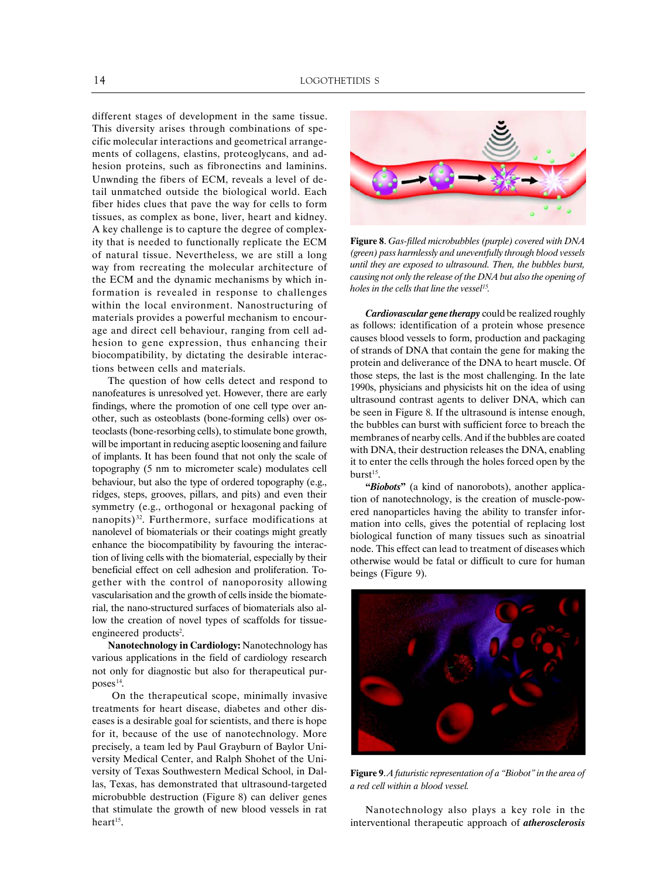different stages of development in the same tissue. This diversity arises through combinations of specific molecular interactions and geometrical arrangements of collagens, elastins, proteoglycans, and adhesion proteins, such as fibronectins and laminins. Unwnding the fibers of ECM, reveals a level of detail unmatched outside the biological world. Each fiber hides clues that pave the way for cells to form tissues, as complex as bone, liver, heart and kidney. A key challenge is to capture the degree of complexity that is needed to functionally replicate the ECM of natural tissue. Nevertheless, we are still a long way from recreating the molecular architecture of the ECM and the dynamic mechanisms by which information is revealed in response to challenges within the local environment. Nanostructuring of materials provides a powerful mechanism to encourage and direct cell behaviour, ranging from cell adhesion to gene expression, thus enhancing their biocompatibility, by dictating the desirable interactions between cells and materials.

The question of how cells detect and respond to nanofeatures is unresolved yet. However, there are early findings, where the promotion of one cell type over another, such as osteoblasts (bone-forming cells) over osteoclasts (bone-resorbing cells), to stimulate bone growth, will be important in reducing aseptic loosening and failure of implants. It has been found that not only the scale of topography (5 nm to micrometer scale) modulates cell behaviour, but also the type of ordered topography (e.g., ridges, steps, grooves, pillars, and pits) and even their symmetry (e.g., orthogonal or hexagonal packing of nanopits) 32. Furthermore, surface modifications at nanolevel of biomaterials or their coatings might greatly enhance the biocompatibility by favouring the interaction of living cells with the biomaterial, especially by their beneficial effect on cell adhesion and proliferation. Together with the control of nanoporosity allowing vascularisation and the growth of cells inside the biomaterial, the nano-structured surfaces of biomaterials also allow the creation of novel types of scaffolds for tissueengineered products<sup>2</sup>.

**Nanotechnology in Cardiology:** Nanotechnology has various applications in the field of cardiology research not only for diagnostic but also for therapeutical purposes<sup>14</sup>.

 On the therapeutical scope, minimally invasive treatments for heart disease, diabetes and other diseases is a desirable goal for scientists, and there is hope for it, because of the use of nanotechnology. More precisely, a team led by Paul Grayburn of Baylor University Medical Center, and Ralph Shohet of the University of Texas Southwestern Medical School, in Dallas, Texas, has demonstrated that ultrasound-targeted microbubble destruction (Figure 8) can deliver genes that stimulate the growth of new blood vessels in rat heart $15$ .



**Figure 8**. *Gas-filled microbubbles (purple) covered with DNA (green) pass harmlessly and uneventfully through blood vessels until they are exposed to ultrasound. Then, the bubbles burst, causing not only the release of the DNA but also the opening of holes in the cells that line the vessel15.*

*Cardiovascular gene therapy* could be realized roughly as follows: identification of a protein whose presence causes blood vessels to form, production and packaging of strands of DNA that contain the gene for making the protein and deliverance of the DNA to heart muscle. Of those steps, the last is the most challenging. In the late 1990s, physicians and physicists hit on the idea of using ultrasound contrast agents to deliver DNA, which can be seen in Figure 8. If the ultrasound is intense enough, the bubbles can burst with sufficient force to breach the membranes of nearby cells. And if the bubbles are coated with DNA, their destruction releases the DNA, enabling it to enter the cells through the holes forced open by the burst $15$ .

**"***Biobots***"** (a kind of nanorobots), another application of nanotechnology, is the creation of muscle-powered nanoparticles having the ability to transfer information into cells, gives the potential of replacing lost biological function of many tissues such as sinoatrial node. This effect can lead to treatment of diseases which otherwise would be fatal or difficult to cure for human beings (Figure 9).



**Figure 9**. *A futuristic representation of a "Biobot" in the area of a red cell within a blood vessel.*

Nanotechnology also plays a key role in the interventional therapeutic approach of *atherosclerosis*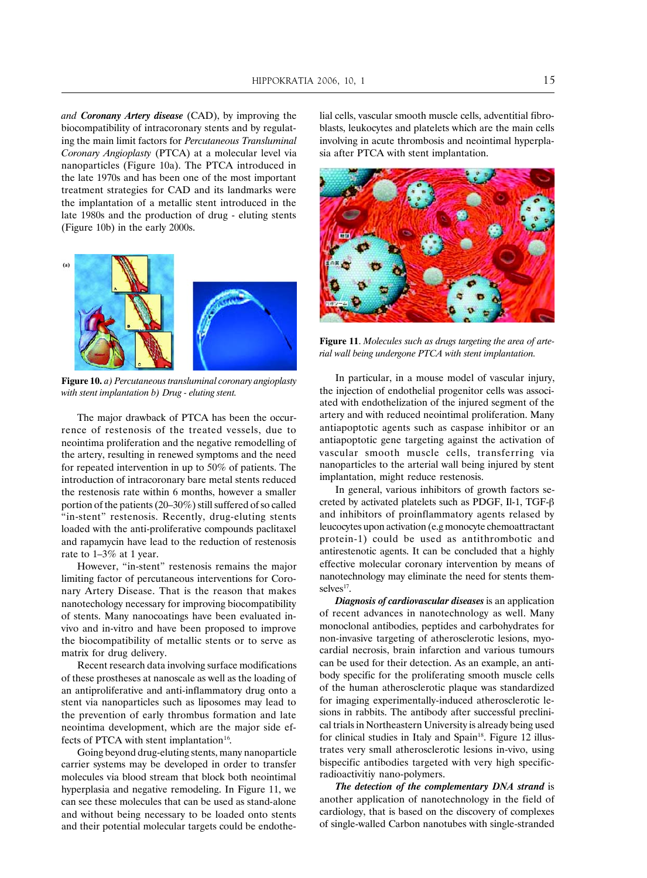*and Coronany Artery disease* (CAD), by improving the biocompatibility of intracoronary stents and by regulating the main limit factors for *Percutaneous Transluminal Coronary Angioplasty* (PTCA) at a molecular level via nanoparticles (Figure 10a). The PTCA introduced in the late 1970s and has been one of the most important treatment strategies for CAD and its landmarks were the implantation of a metallic stent introduced in the late 1980s and the production of drug - eluting stents (Figure 10b) in the early 2000s.



**Figure 10.** *a) Percutaneous transluminal coronary angioplasty with stent implantation b) Drug - eluting stent.*

The major drawback of PTCA has been the occurrence of restenosis of the treated vessels, due to neointima proliferation and the negative remodelling of the artery, resulting in renewed symptoms and the need for repeated intervention in up to 50% of patients. The introduction of intracoronary bare metal stents reduced the restenosis rate within 6 months, however a smaller portion of the patients (20–30%) still suffered of so called "in-stent" restenosis. Recently, drug-eluting stents loaded with the anti-proliferative compounds paclitaxel and rapamycin have lead to the reduction of restenosis rate to 1–3% at 1 year.

However, "in-stent" restenosis remains the major limiting factor of percutaneous interventions for Coronary Artery Disease. That is the reason that makes nanotechology necessary for improving biocompatibility of stents. Many nanocoatings have been evaluated invivo and in-vitro and have been proposed to improve the biocompatibility of metallic stents or to serve as matrix for drug delivery.

Recent research data involving surface modifications of these prostheses at nanoscale as well as the loading of an antiproliferative and anti-inflammatory drug onto a stent via nanoparticles such as liposomes may lead to the prevention of early thrombus formation and late neointima development, which are the major side effects of PTCA with stent implantation<sup>16</sup>.

Going beyond drug-eluting stents, many nanoparticle carrier systems may be developed in order to transfer molecules via blood stream that block both neointimal hyperplasia and negative remodeling. In Figure 11, we can see these molecules that can be used as stand-alone and without being necessary to be loaded onto stents and their potential molecular targets could be endothelial cells, vascular smooth muscle cells, adventitial fibroblasts, leukocytes and platelets which are the main cells involving in acute thrombosis and neointimal hyperplasia after PTCA with stent implantation.



**Figure 11**. *Molecules such as drugs targeting the area of arterial wall being undergone PTCA with stent implantation.*

In particular, in a mouse model of vascular injury, the injection of endothelial progenitor cells was associated with endothelization of the injured segment of the artery and with reduced neointimal proliferation. Many antiapoptotic agents such as caspase inhibitor or an antiapoptotic gene targeting against the activation of vascular smooth muscle cells, transferring via nanoparticles to the arterial wall being injured by stent implantation, might reduce restenosis.

In general, various inhibitors of growth factors secreted by activated platelets such as PDGF, Il-1, TGF- $\beta$ and inhibitors of proinflammatory agents relased by leucocytes upon activation (e.g monocyte chemoattractant protein-1) could be used as antithrombotic and antirestenotic agents. It can be concluded that a highly effective molecular coronary intervention by means of nanotechnology may eliminate the need for stents themselves<sup>17</sup>.

*Diagnosis of cardiovascular diseases* is an application of recent advances in nanotechnology as well. Many monoclonal antibodies, peptides and carbohydrates for non-invasive targeting of atherosclerotic lesions, myocardial necrosis, brain infarction and various tumours can be used for their detection. As an example, an antibody specific for the proliferating smooth muscle cells of the human atherosclerotic plaque was standardized for imaging experimentally-induced atherosclerotic lesions in rabbits. The antibody after successful preclinical trials in Northeastern University is already being used for clinical studies in Italy and Spain<sup>18</sup>. Figure 12 illustrates very small atherosclerotic lesions in-vivo, using bispecific antibodies targeted with very high specificradioactivitiy nano-polymers.

*The detection of the complementary DNA strand* is another application of nanotechnology in the field of cardiology, that is based on the discovery of complexes of single-walled Carbon nanotubes with single-stranded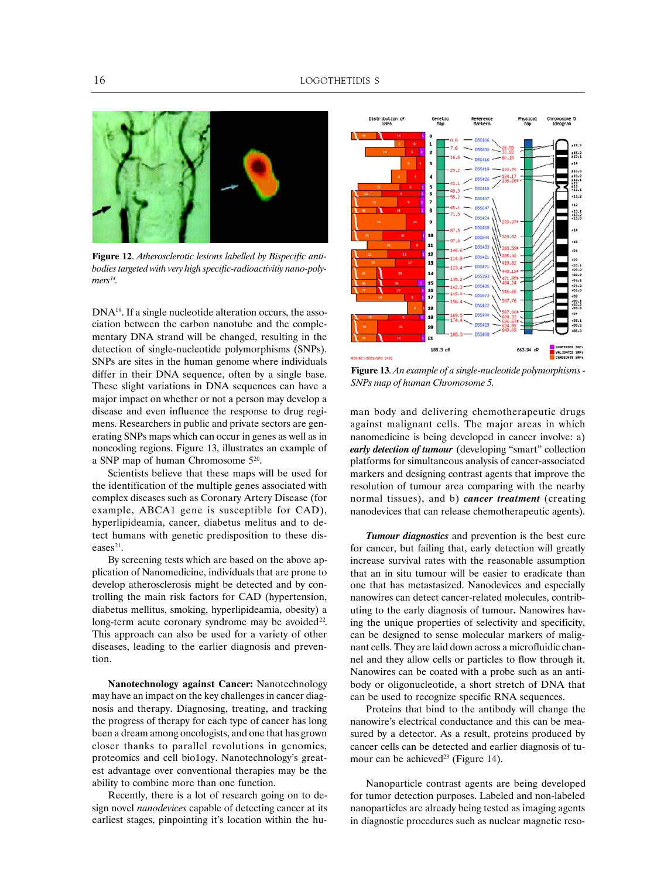

**Figure 12**. *Atherosclerotic lesions labelled by Bispecific antibodies targeted with very high specific-radioactivitiy nano-poly* $mers<sup>14</sup>$ .

DNA<sup>19</sup>. If a single nucleotide alteration occurs, the association between the carbon nanotube and the complementary DNA strand will be changed, resulting in the detection of single-nucleotide polymorphisms (SNPs). SNPs are sites in the human genome where individuals differ in their DNA sequence, often by a single base. These slight variations in DNA sequences can have a major impact on whether or not a person may develop a disease and even influence the response to drug regimens. Researchers in public and private sectors are generating SNPs maps which can occur in genes as well as in noncoding regions. Figure 13, illustrates an example of a SNP map of human Chromosome 520.

Scientists believe that these maps will be used for the identification of the multiple genes associated with complex diseases such as Coronary Artery Disease (for example, ABCA1 gene is susceptible for CAD), hyperlipideamia, cancer, diabetus melitus and to detect humans with genetic predisposition to these diseases $21$ .

By screening tests which are based on the above application of Nanomedicine, individuals that are prone to develop atherosclerosis might be detected and by controlling the main risk factors for CAD (hypertension, diabetus mellitus, smoking, hyperlipideamia, obesity) a long-term acute coronary syndrome may be avoided<sup>22</sup>. This approach can also be used for a variety of other diseases, leading to the earlier diagnosis and prevention.

**Nanotechnology against Cancer:** Nanotechnology may have an impact on the key challenges in cancer diagnosis and therapy. Diagnosing, treating, and tracking the progress of therapy for each type of cancer has long been a dream among oncologists, and one that has grown closer thanks to parallel revolutions in genomics, proteomics and cell bio1ogy. Nanotechnology's greatest advantage over conventional therapies may be the ability to combine more than one function.

Recently, there is a lot of research going on to design novel *nanodevices* capable of detecting cancer at its earliest stages, pinpointing it's location within the hu-



**Figure 13**. *An example of a single-nucleotide polymorphisms - SNPs map of human Chromosome 5.*

man body and delivering chemotherapeutic drugs against malignant cells. The major areas in which nanomedicine is being developed in cancer involve: a) *early detection of tumour* (developing "smart" collection platforms for simultaneous analysis of cancer-associated markers and designing contrast agents that improve the resolution of tumour area comparing with the nearby normal tissues), and b) *cancer treatment* (creating nanodevices that can release chemotherapeutic agents).

*Tumour diagnostics* and prevention is the best cure for cancer, but failing that, early detection will greatly increase survival rates with the reasonable assumption that an in situ tumour will be easier to eradicate than one that has metastasized. Nanodevices and especially nanowires can detect cancer-related molecules, contributing to the early diagnosis of tumour**.** Nanowires having the unique properties of selectivity and specificity, can be designed to sense molecular markers of malignant cells. They are laid down across a microfluidic channel and they allow cells or particles to flow through it. Nanowires can be coated with a probe such as an antibody or oligonucleotide, a short stretch of DNA that can be used to recognize specific RNA sequences.

Proteins that bind to the antibody will change the nanowire's electrical conductance and this can be measured by a detector. As a result, proteins produced by cancer cells can be detected and earlier diagnosis of tumour can be achieved<sup>23</sup> (Figure 14).

Nanoparticle contrast agents are being developed for tumor detection purposes. Labeled and non-labeled nanoparticles are already being tested as imaging agents in diagnostic procedures such as nuclear magnetic reso-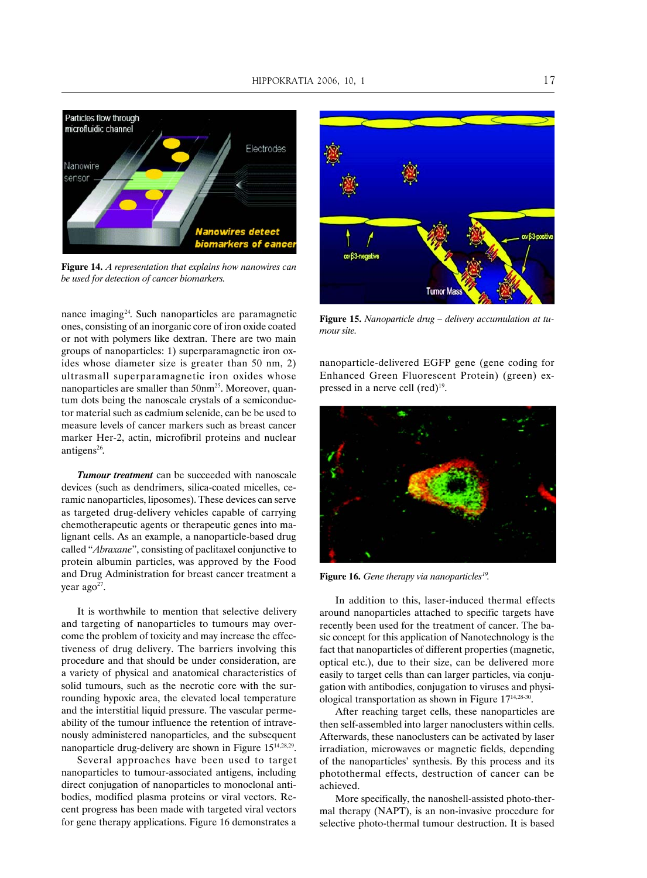

**Figure 14.** *A representation that explains how nanowires can be used for detection of cancer biomarkers.*

nance imaging<sup>24</sup>. Such nanoparticles are paramagnetic ones, consisting of an inorganic core of iron oxide coated or not with polymers like dextran. There are two main groups of nanoparticles: 1) superparamagnetic iron oxides whose diameter size is greater than 50 nm, 2) ultrasmall superparamagnetic iron oxides whose nanoparticles are smaller than 50nm<sup>25</sup>. Moreover, quantum dots being the nanoscale crystals of a semiconductor material such as cadmium selenide, can be be used to measure levels of cancer markers such as breast cancer marker Her-2, actin, microfibril proteins and nuclear antigens<sup>26</sup>.

*Tumour treatment* can be succeeded with nanoscale devices (such as dendrimers, silica-coated micelles, ceramic nanoparticles, liposomes). These devices can serve as targeted drug-delivery vehicles capable of carrying chemotherapeutic agents or therapeutic genes into malignant cells. As an example, a nanoparticle-based drug called "*Abraxane*", consisting of paclitaxel conjunctive to protein albumin particles, was approved by the Food and Drug Administration for breast cancer treatment a year ago<sup>27</sup>.

It is worthwhile to mention that selective delivery and targeting of nanoparticles to tumours may overcome the problem of toxicity and may increase the effectiveness of drug delivery. The barriers involving this procedure and that should be under consideration, are a variety of physical and anatomical characteristics of solid tumours, such as the necrotic core with the surrounding hypoxic area, the elevated local temperature and the interstitial liquid pressure. The vascular permeability of the tumour influence the retention of intravenously administered nanoparticles, and the subsequent nanoparticle drug-delivery are shown in Figure 1514,28,29.

Several approaches have been used to target nanoparticles to tumour-associated antigens, including direct conjugation of nanoparticles to monoclonal antibodies, modified plasma proteins or viral vectors. Recent progress has been made with targeted viral vectors for gene therapy applications. Figure 16 demonstrates a



**Figure 15.** *Nanoparticle drug – delivery accumulation at tumour site.*

nanoparticle-delivered EGFP gene (gene coding for Enhanced Green Fluorescent Protein) (green) expressed in a nerve cell  $(\text{red})^{19}$ .



Figure 16. Gene therapy via nanoparticles<sup>19</sup>.

In addition to this, laser-induced thermal effects around nanoparticles attached to specific targets have recently been used for the treatment of cancer. The basic concept for this application of Nanotechnology is the fact that nanoparticles of different properties (magnetic, optical etc.), due to their size, can be delivered more easily to target cells than can larger particles, via conjugation with antibodies, conjugation to viruses and physiological transportation as shown in Figure 1714,28-30.

After reaching target cells, these nanoparticles are then self-assembled into larger nanoclusters within cells. Afterwards, these nanoclusters can be activated by laser irradiation, microwaves or magnetic fields, depending of the nanoparticles' synthesis. By this process and its photothermal effects, destruction of cancer can be achieved.

More specifically, the nanoshell-assisted photo-thermal therapy (NAPT), is an non-invasive procedure for selective photo-thermal tumour destruction. It is based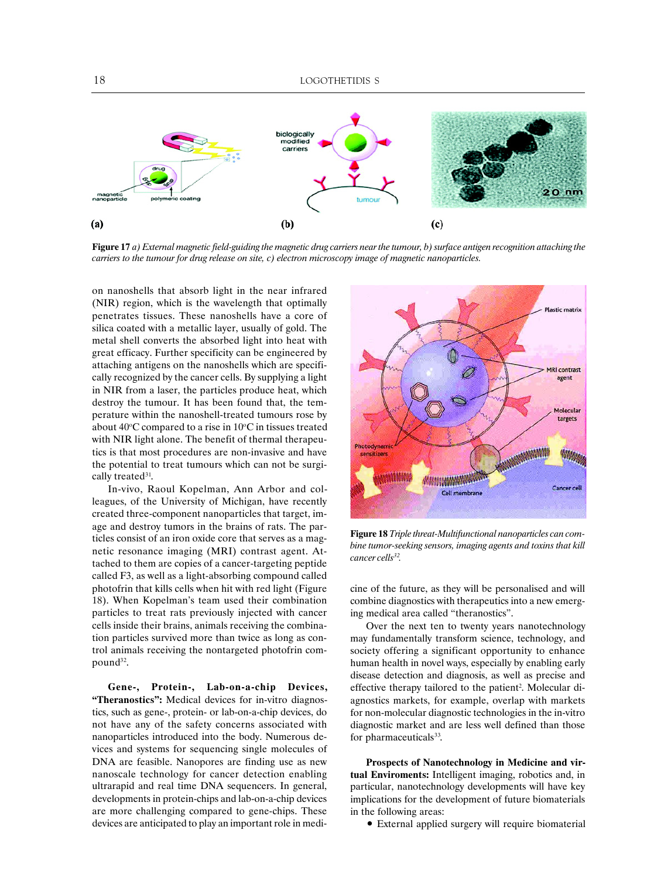

**Figure 17** *a) External magnetic field-guiding the magnetic drug carriers near the tumour, b) surface antigen recognition attaching the carriers to the tumour for drug release on site, c) electron microscopy image of magnetic nanoparticles.*

on nanoshells that absorb light in the near infrared (NIR) region, which is the wavelength that optimally penetrates tissues. These nanoshells have a core of silica coated with a metallic layer, usually of gold. The metal shell converts the absorbed light into heat with great efficacy. Further specificity can be engineered by attaching antigens on the nanoshells which are specifically recognized by the cancer cells. By supplying a light in NIR from a laser, the particles produce heat, which destroy the tumour. It has been found that, the temperature within the nanoshell-treated tumours rose by about  $40^{\circ}$ C compared to a rise in  $10^{\circ}$ C in tissues treated with NIR light alone. The benefit of thermal therapeutics is that most procedures are non-invasive and have the potential to treat tumours which can not be surgically treated<sup>31</sup>.

In-vivo, Raoul Kopelman, Ann Arbor and colleagues, of the University of Michigan, have recently created three-component nanoparticles that target, image and destroy tumors in the brains of rats. The particles consist of an iron oxide core that serves as a magnetic resonance imaging (MRI) contrast agent. Attached to them are copies of a cancer-targeting peptide called F3, as well as a light-absorbing compound called photofrin that kills cells when hit with red light (Figure 18). When Kopelman's team used their combination particles to treat rats previously injected with cancer cells inside their brains, animals receiving the combination particles survived more than twice as long as control animals receiving the nontargeted photofrin compound<sup>32</sup>.

**Gene-, Protein-, Lab-on-a-chip Devices, "Theranostics":** Medical devices for in-vitro diagnostics, such as gene-, protein- or lab-on-a-chip devices, do not have any of the safety concerns associated with nanoparticles introduced into the body. Numerous devices and systems for sequencing single molecules of DNA are feasible. Nanopores are finding use as new nanoscale technology for cancer detection enabling ultrarapid and real time DNA sequencers. In general, developments in protein-chips and lab-on-a-chip devices are more challenging compared to gene-chips. These devices are anticipated to play an important role in medi-



**Figure 18** *Triple threat-Multifunctional nanoparticles can combine tumor-seeking sensors, imaging agents and toxins that kill cancer cells32.*

cine of the future, as they will be personalised and will combine diagnostics with therapeutics into a new emerging medical area called "theranostics".

Over the next ten to twenty years nanotechnology may fundamentally transform science, technology, and society offering a significant opportunity to enhance human health in novel ways, especially by enabling early disease detection and diagnosis, as well as precise and effective therapy tailored to the patient<sup>2</sup>. Molecular diagnostics markets, for example, overlap with markets for non-molecular diagnostic technologies in the in-vitro diagnostic market and are less well defined than those for pharmaceuticals<sup>33</sup>.

**Prospects of Nanotechnology in Medicine and virtual Enviroments:** Intelligent imaging, robotics and, in particular, nanotechnology developments will have key implications for the development of future biomaterials in the following areas:

• External applied surgery will require biomaterial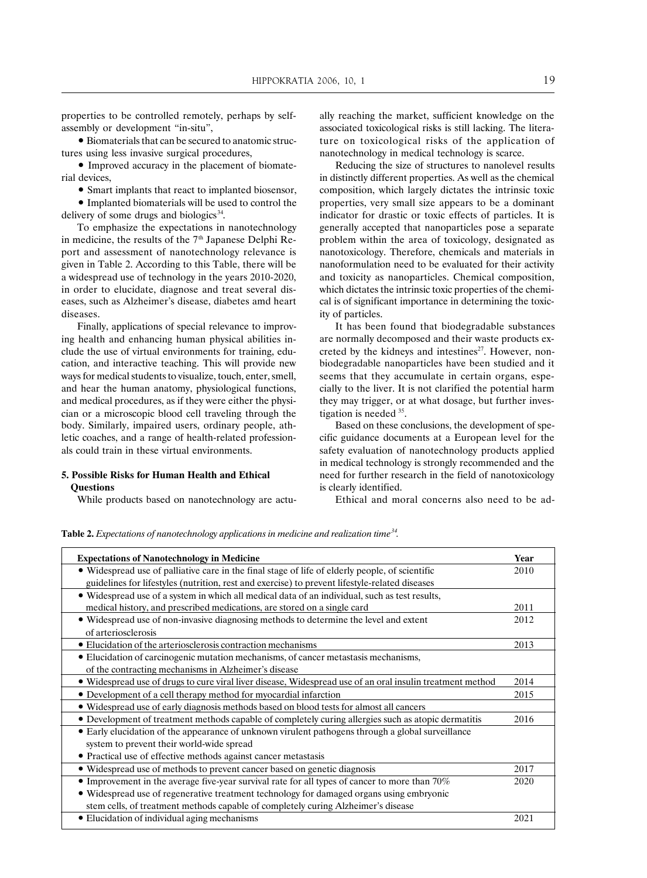properties to be controlled remotely, perhaps by selfassembly or development "in-situ",

• Biomaterials that can be secured to anatomic structures using less invasive surgical procedures,

• Improved accuracy in the placement of biomaterial devices,

• Smart implants that react to implanted biosensor,

• Implanted biomaterials will be used to control the delivery of some drugs and biologics<sup>34</sup>.

To emphasize the expectations in nanotechnology in medicine, the results of the  $7<sup>th</sup>$  Japanese Delphi Report and assessment of nanotechnology relevance is given in Table 2. According to this Table, there will be a widespread use of technology in the years 2010-2020, in order to elucidate, diagnose and treat several diseases, such as Alzheimer's disease, diabetes amd heart diseases.

Finally, applications of special relevance to improving health and enhancing human physical abilities include the use of virtual environments for training, education, and interactive teaching. This will provide new ways for medical students to visualize, touch, enter, smell, and hear the human anatomy, physiological functions, and medical procedures, as if they were either the physician or a microscopic blood cell traveling through the body. Similarly, impaired users, ordinary people, athletic coaches, and a range of health-related professionals could train in these virtual environments.

#### **5. Possible Risks for Human Health and Ethical Questions**

While products based on nanotechnology are actu-

ally reaching the market, sufficient knowledge on the associated toxicological risks is still lacking. The literature on toxicological risks of the application of nanotechnology in medical technology is scarce.

Reducing the size of structures to nanolevel results in distinctly different properties. As well as the chemical composition, which largely dictates the intrinsic toxic properties, very small size appears to be a dominant indicator for drastic or toxic effects of particles. It is generally accepted that nanoparticles pose a separate problem within the area of toxicology, designated as nanotoxicology. Therefore, chemicals and materials in nanoformulation need to be evaluated for their activity and toxicity as nanoparticles. Chemical composition, which dictates the intrinsic toxic properties of the chemical is of significant importance in determining the toxicity of particles.

It has been found that biodegradable substances are normally decomposed and their waste products excreted by the kidneys and intestines<sup>27</sup>. However, nonbiodegradable nanoparticles have been studied and it seems that they accumulate in certain organs, especially to the liver. It is not clarified the potential harm they may trigger, or at what dosage, but further investigation is needed 35.

Based on these conclusions, the development of specific guidance documents at a European level for the safety evaluation of nanotechnology products applied in medical technology is strongly recommended and the need for further research in the field of nanotoxicology is clearly identified.

Ethical and moral concerns also need to be ad-

**Table 2.** *Expectations of nanotechnology applications in medicine and realization time34.*

| <b>Expectations of Nanotechnology in Medicine</b>                                                         | Year |
|-----------------------------------------------------------------------------------------------------------|------|
| • Widespread use of palliative care in the final stage of life of elderly people, of scientific           | 2010 |
| guidelines for lifestyles (nutrition, rest and exercise) to prevent lifestyle-related diseases            |      |
| • Widespread use of a system in which all medical data of an individual, such as test results,            |      |
| medical history, and prescribed medications, are stored on a single card                                  | 2011 |
| • Widespread use of non-invasive diagnosing methods to determine the level and extent                     | 2012 |
| of arteriosclerosis                                                                                       |      |
| • Elucidation of the arteriosclerosis contraction mechanisms                                              | 2013 |
| • Elucidation of carcinogenic mutation mechanisms, of cancer metastasis mechanisms,                       |      |
| of the contracting mechanisms in Alzheimer's disease                                                      |      |
| • Widespread use of drugs to cure viral liver disease, Widespread use of an oral insulin treatment method | 2014 |
| • Development of a cell therapy method for myocardial infarction                                          | 2015 |
| • Widespread use of early diagnosis methods based on blood tests for almost all cancers                   |      |
| • Development of treatment methods capable of completely curing allergies such as atopic dermatitis       | 2016 |
| • Early elucidation of the appearance of unknown virulent pathogens through a global surveillance         |      |
| system to prevent their world-wide spread                                                                 |      |
| • Practical use of effective methods against cancer metastasis                                            |      |
| • Widespread use of methods to prevent cancer based on genetic diagnosis                                  | 2017 |
| $\bullet$ Improvement in the average five-year survival rate for all types of cancer to more than 70%     | 2020 |
| • Widespread use of regenerative treatment technology for damaged organs using embryonic                  |      |
| stem cells, of treatment methods capable of completely curing Alzheimer's disease                         |      |
| • Elucidation of individual aging mechanisms                                                              | 2021 |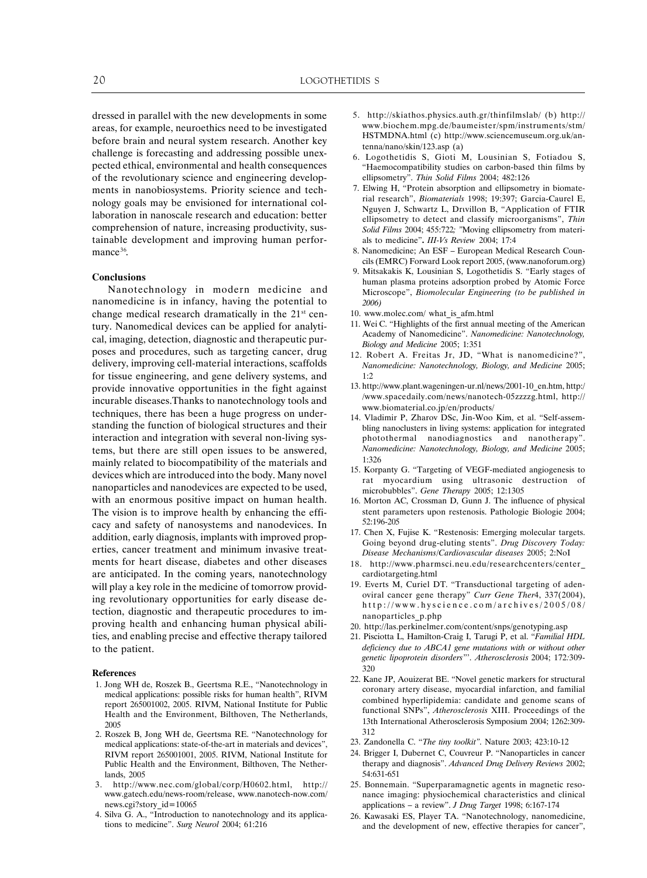dressed in parallel with the new developments in some areas, for example, neuroethics need to be investigated before brain and neural system research. Another key challenge is forecasting and addressing possible unexpected ethical, environmental and health consequences of the revolutionary science and engineering developments in nanobiosystems. Priority science and technology goals may be envisioned for international collaboration in nanoscale research and education: better comprehension of nature, increasing productivity, sustainable development and improving human performance<sup>36</sup>.

#### **Conclusions**

Nanotechnology in modern medicine and nanomedicine is in infancy, having the potential to change medical research dramatically in the 21<sup>st</sup> century. Nanomedical devices can be applied for analytical, imaging, detection, diagnostic and therapeutic purposes and procedures, such as targeting cancer, drug delivery, improving cell-material interactions, scaffolds for tissue engineering, and gene delivery systems, and provide innovative opportunities in the fight against incurable diseases.Thanks to nanotechnology tools and techniques, there has been a huge progress on understanding the function of biological structures and their interaction and integration with several non-living systems, but there are still open issues to be answered, mainly related to biocompatibility of the materials and devices which are introduced into the body. Many novel nanoparticles and nanodevices are expected to be used, with an enormous positive impact on human health. The vision is to improve health by enhancing the efficacy and safety of nanosystems and nanodevices. In addition, early diagnosis, implants with improved properties, cancer treatment and minimum invasive treatments for heart disease, diabetes and other diseases are anticipated. In the coming years, nanotechnology will play a key role in the medicine of tomorrow providing revolutionary opportunities for early disease detection, diagnostic and therapeutic procedures to improving health and enhancing human physical abilities, and enabling precise and effective therapy tailored to the patient.

#### **References**

- 1. Jong WH de, Roszek B., Geertsma R.E., "Nanotechnology in medical applications: possible risks for human health", RIVM report 265001002, 2005. RIVM, National Institute for Public Health and the Environment, Bilthoven, The Netherlands, 2005
- 2. Roszek B, Jong WH de, Geertsma RE. "Nanotechnology for medical applications: state-of-the-art in materials and devices", RIVM report 265001001, 2005. RIVM, National Institute for Public Health and the Environment, Bilthoven, The Netherlands, 2005
- 3. http://www.nec.com/global/corp/H0602.html, http:// www.gatech.edu/news-room/release, www.nanotech-now.com/ news.cgi?story\_id=10065
- 4. Silva G. A., "Introduction to nanotechnology and its applications to medicine". *Surg Neurol* 2004; 61:216
- 5. http://skiathos.physics.auth.gr/thinfilmslab/ (b) http:// www.biochem.mpg.de/baumeister/spm/instruments/stm/ HSTMDNA.html (c) http://www.sciencemuseum.org.uk/antenna/nano/skin/123.asp (a)
- 6. Logothetidis S, Gioti M, Lousinian S, Fotiadou S, "Haemocompatibility studies on carbon-based thin films by ellipsometry". *Thin Solid Films* 2004; 482:126
- 7. Elwing H, "Protein absorption and ellipsometry in biomaterial research", *Biomaterials* 1998; 19:397; Garcia-Caurel E, Nguyen J, Schwartz L, Drivillon B, "Application of FTIR ellipsometry to detect and classify microorganisms", *Thin Solid Films* 2004; 455:722*; "*Moving ellipsometry from materials to medicine"**.** *III-Vs Review* 2004; 17:4
- 8. Nanomedicine; An ESF European Medical Research Councils (EMRC) Forward Look report 2005, (www.nanoforum.org)
- 9. Mitsakakis K, Lousinian S, Logothetidis S. "Early stages of human plasma proteins adsorption probed by Atomic Force Microscope", *Biomolecular Engineering (to be published in 2006)*
- 10. www.molec.com/ what\_is\_afm.html
- 11. Wei C. "Highlights of the first annual meeting of the American Academy of Nanomedicine". *Nanomedicine: Nanotechnology, Biology and Medicine* 2005; 1:351
- 12. Robert A. Freitas Jr, JD, "What is nanomedicine?", *Nanomedicine: Nanotechnology, Biology, and Medicine* 2005;  $1·2$
- 13. http://www.plant.wageningen-ur.nl/news/2001-10\_en.htm, http:/ /www.spacedaily.com/news/nanotech-05zzzzg.html, http:// www.biomaterial.co.jp/en/products/
- 14. Vladimir P, Zharov DSc, Jin-Woo Kim, et al. "Self-assembling nanoclusters in living systems: application for integrated photothermal nanodiagnostics and nanotherapy". *Nanomedicine: Nanotechnology, Biology, and Medicine* 2005; 1:326
- 15. Korpanty G. "Targeting of VEGF-mediated angiogenesis to rat myocardium using ultrasonic destruction of microbubbles". *Gene Therapy* 2005; 12:1305
- 16. Morton AC, Crossman D, Gunn J. The influence of physical stent parameters upon restenosis. Pathologie Biologie 2004; 52:196-205
- 17. Chen X, Fujise K. "Restenosis: Emerging molecular targets. Going beyond drug-eluting stents". *Drug Discovery Today:* Disease Mechanisms/Cardiovascular diseases 2005; 2:NoI
- 18. http://www.pharmsci.neu.edu/researchcenters/center\_ cardiotargeting.html
- 19. Everts M, Curiel DT. "Transductional targeting of adenoviral cancer gene therapy" *Curr Gene Ther*4, 337(2004), http://www.hyscience.com/archives/2005/08/ nanoparticles\_p.php
- 20. http://las.perkinelmer.com/content/snps/genotyping.asp
- 21. Pisciotta L, Hamilton-Craig I, Tarugi P, et al. "*Familial HDL deficiency due to ABCA1 gene mutations with or without other genetic lipoprotein disorders*"'. *Atherosclerosis* 2004; 172*:*309- 320
- 22. Kane JP, Aouizerat BE. "Novel genetic markers for structural coronary artery disease, myocardial infarction, and familial combined hyperlipidemia: candidate and genome scans of functional SNPs", *Atherosclerosis* XIII. Proceedings of the 13th International Atherosclerosis Symposium 2004; 1262:309- 312
- 23. Zandonella C. "*The tiny toolkit"*. Nature 2003; 423:10-12
- 24. Brigger I, Dubernet C, Couvreur P. "Nanoparticles in cancer therapy and diagnosis". *Advanced Drug Delivery Reviews* 2002; 54:631-651
- 25. Bonnemain. "Superparamagnetic agents in magnetic resonance imaging: physiochemical characteristics and clinical applications – a review". *J Drug Target* 1998; 6:167-174
- 26. Kawasaki ES, Player TA. "Nanotechnology, nanomedicine, and the development of new, effective therapies for cancer",